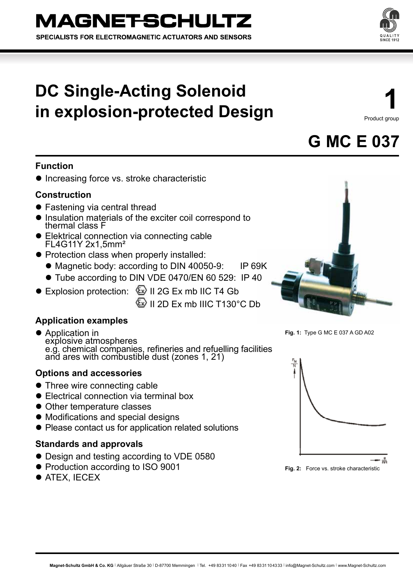# **DC Single-Acting Solenoid in explosion-protected Design**

**1** Product group



### **Function**

**• Increasing force vs. stroke characteristic** 

### **Construction**

- Fastening via central thread
- Insulation materials of the exciter coil correspond to thermal class F
- Elektrical connection via connecting cable FL4G11Y 2x1,5mm²
- Protection class when properly installed:
	- Magnetic body: according to DIN 40050-9: IP 69K
	- Tube according to DIN VDE 0470/EN 60 529: IP 40
- Explosion protection: <sup>22</sup> II 2G Ex mb IIC T4 Gb

 $\langle\overline{\mathbb{R}}\rangle$  II 2D Ex mb IIIC T130°C Db

### **Application examples**

**Application in** explosive atmospheres e.g. chemical companies, refineries and refuelling facilities and ares with combustible dust (zones 1, 21)

### **Options and accessories**

- Three wire connecting cable
- Electrical connection via terminal box
- Other temperature classes
- $\bullet$  Modifications and special designs
- Please contact us for application related solutions

### **Standards and approvals**

- Design and testing according to VDE 0580
- Production according to ISO 9001
- **ATEX, IECEX**



**Fig. 1:** Type G MC E 037 A GD A02





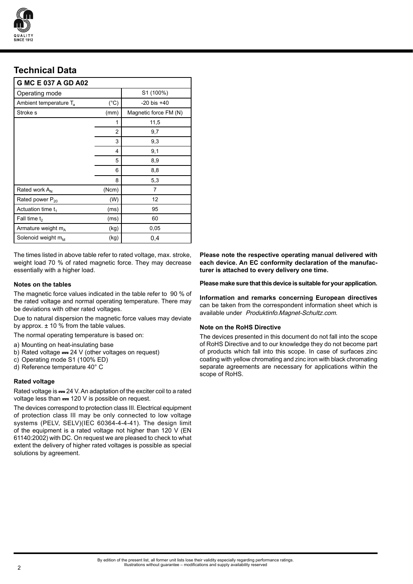

## **Technical Data**

| G MC E 037 A GD A02                |                |                       |
|------------------------------------|----------------|-----------------------|
| Operating mode                     |                | S1 (100%)             |
| Ambient temperature T <sub>a</sub> | $(^{\circ}C)$  | $-20$ bis $+40$       |
| Stroke s                           | (mm)           | Magnetic force FM (N) |
|                                    | 1              | 11,5                  |
|                                    | $\overline{c}$ | 9,7                   |
|                                    | 3              | 9,3                   |
|                                    | 4              | 9,1                   |
|                                    | 5              | 8,9                   |
|                                    | 6              | 8,8                   |
|                                    | 8              | 5,3                   |
| Rated work A <sub>N</sub>          | (Ncm)          | 7                     |
| Rated power P <sub>20</sub>        | (W)            | 12                    |
| Actuation time $t_1$               | (ms)           | 95                    |
| Fall time t <sub>2</sub>           | (ms)           | 60                    |
| Armature weight mA                 | (kg)           | 0,05                  |
| Solenoid weight $m_M$              | (kg)           | 0,4                   |

The times listed in above table refer to rated voltage, max. stroke, weight load 70 % of rated magnetic force. They may decrease essentially with a higher load.

The magnetic force values indicated in the table refer to 90 % of the rated voltage and normal operating temperature. There may be deviations with other rated voltages.

Due to natural dispersion the magnetic force values may deviate by approx.  $\pm$  10 % from the table values.

The normal operating temperature is based on:

- a) Mounting on heat-insulating base
- b) Rated voltage  $= 24$  V (other voltages on request)
- c) Operating mode S1 (100% ED)
- d) Reference temperature 40° C

### **Rated voltage**

Rated voltage is == 24 V. An adaptation of the exciter coil to a rated voltage less than  $= 120$  V is possible on request.

The devices correspond to protection class III. Electrical equipment of protection class III may be only connected to low voltage systems (PELV, SELV)(IEC 60364-4-4-41). The design limit of the equipment is a rated voltage not higher than 120 V (EN 61140:2002) with DC. On request we are pleased to check to what extent the delivery of higher rated voltages is possible as special solutions by agreement.

**Please note the respective operating manual delivered with each device. An EC conformity declaration of the manufacturer is attached to every delivery one time.**

**Notes on the tables Please make sure that this device is suitable for your application.**

**Information and remarks concerning European directives**  can be taken from the correspondent information sheet which is available under Produktinfo.Magnet-Schultz.com.

### **Note on the RoHS Directive**

The devices presented in this document do not fall into the scope of RoHS Directive and to our knowledge they do not become part of products which fall into this scope. In case of surfaces zinc coating with yellow chromating and zinc iron with black chromating separate agreements are necessary for applications within the scope of RoHS.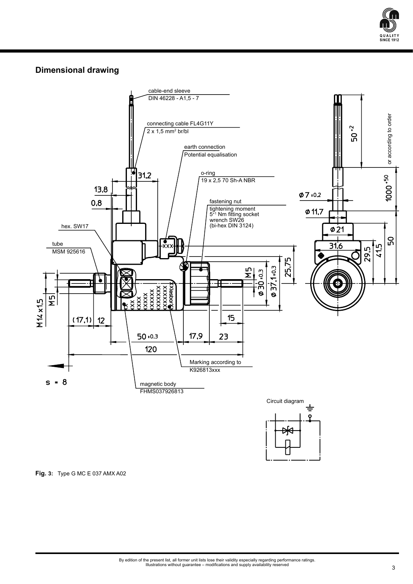

### **Dimensional drawing**



**Fig. 3:** Type G MC E 037 AMX A02